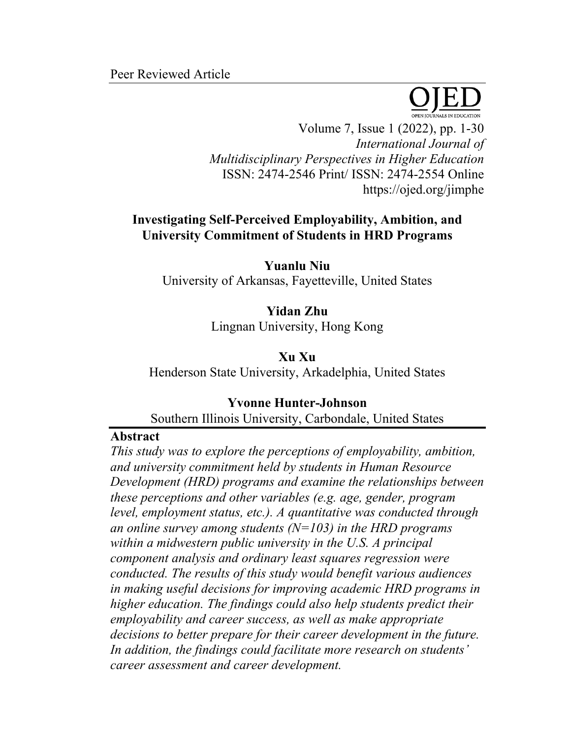Peer Reviewed Article



Volume 7, Issue 1 (2022), pp. 1-30 *International Journal of Multidisciplinary Perspectives in Higher Education* ISSN: 2474-2546 Print/ ISSN: 2474-2554 Online https://ojed.org/jimphe

# **Investigating Self-Perceived Employability, Ambition, and University Commitment of Students in HRD Programs**

**Yuanlu Niu** University of Arkansas, Fayetteville, United States

> **Yidan Zhu** Lingnan University, Hong Kong

**Xu Xu** Henderson State University, Arkadelphia, United States

# **Yvonne Hunter-Johnson**

Southern Illinois University, Carbondale, United States

# **Abstract**

*This study was to explore the perceptions of employability, ambition, and university commitment held by students in Human Resource Development (HRD) programs and examine the relationships between these perceptions and other variables (e.g. age, gender, program level, employment status, etc.). A quantitative was conducted through an online survey among students (N=103) in the HRD programs within a midwestern public university in the U.S. A principal component analysis and ordinary least squares regression were conducted. The results of this study would benefit various audiences in making useful decisions for improving academic HRD programs in higher education. The findings could also help students predict their employability and career success, as well as make appropriate decisions to better prepare for their career development in the future. In addition, the findings could facilitate more research on students' career assessment and career development.*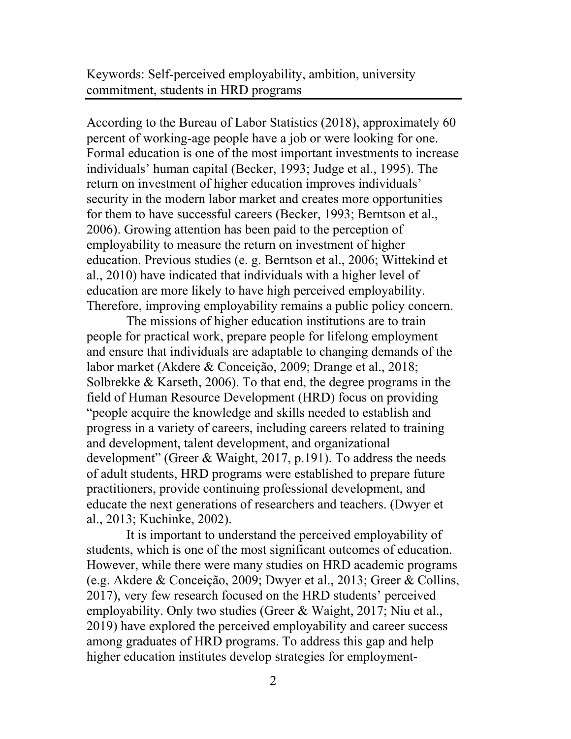Keywords: Self-perceived employability, ambition, university commitment, students in HRD programs

According to the Bureau of Labor Statistics (2018), approximately 60 percent of working-age people have a job or were looking for one. Formal education is one of the most important investments to increase individuals' human capital (Becker, 1993; Judge et al., 1995). The return on investment of higher education improves individuals' security in the modern labor market and creates more opportunities for them to have successful careers (Becker, 1993; Berntson et al., 2006). Growing attention has been paid to the perception of employability to measure the return on investment of higher education. Previous studies (e. g. Berntson et al., 2006; Wittekind et al., 2010) have indicated that individuals with a higher level of education are more likely to have high perceived employability. Therefore, improving employability remains a public policy concern.

The missions of higher education institutions are to train people for practical work, prepare people for lifelong employment and ensure that individuals are adaptable to changing demands of the labor market (Akdere & Conceição, 2009; Drange et al., 2018; Solbrekke & Karseth, 2006). To that end, the degree programs in the field of Human Resource Development (HRD) focus on providing "people acquire the knowledge and skills needed to establish and progress in a variety of careers, including careers related to training and development, talent development, and organizational development" (Greer & Waight, 2017, p.191). To address the needs of adult students, HRD programs were established to prepare future practitioners, provide continuing professional development, and educate the next generations of researchers and teachers. (Dwyer et al., 2013; Kuchinke, 2002).

It is important to understand the perceived employability of students, which is one of the most significant outcomes of education. However, while there were many studies on HRD academic programs (e.g. Akdere & Conceição, 2009; Dwyer et al., 2013; Greer & Collins, 2017), very few research focused on the HRD students' perceived employability. Only two studies (Greer & Waight, 2017; Niu et al., 2019) have explored the perceived employability and career success among graduates of HRD programs. To address this gap and help higher education institutes develop strategies for employment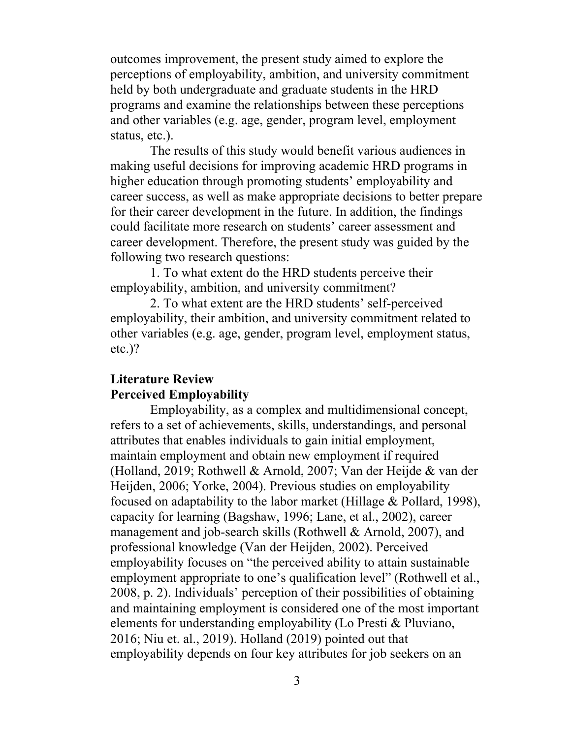outcomes improvement, the present study aimed to explore the perceptions of employability, ambition, and university commitment held by both undergraduate and graduate students in the HRD programs and examine the relationships between these perceptions and other variables (e.g. age, gender, program level, employment status, etc.).

The results of this study would benefit various audiences in making useful decisions for improving academic HRD programs in higher education through promoting students' employability and career success, as well as make appropriate decisions to better prepare for their career development in the future. In addition, the findings could facilitate more research on students' career assessment and career development. Therefore, the present study was guided by the following two research questions:

1. To what extent do the HRD students perceive their employability, ambition, and university commitment?

2. To what extent are the HRD students' self-perceived employability, their ambition, and university commitment related to other variables (e.g. age, gender, program level, employment status, etc.)?

# **Literature Review Perceived Employability**

Employability, as a complex and multidimensional concept, refers to a set of achievements, skills, understandings, and personal attributes that enables individuals to gain initial employment, maintain employment and obtain new employment if required (Holland, 2019; Rothwell & Arnold, 2007; Van der Heijde & van der Heijden, 2006; Yorke, 2004). Previous studies on employability focused on adaptability to the labor market (Hillage & Pollard, 1998), capacity for learning (Bagshaw, 1996; Lane, et al., 2002), career management and job-search skills (Rothwell & Arnold, 2007), and professional knowledge (Van der Heijden, 2002). Perceived employability focuses on "the perceived ability to attain sustainable employment appropriate to one's qualification level" (Rothwell et al., 2008, p. 2). Individuals' perception of their possibilities of obtaining and maintaining employment is considered one of the most important elements for understanding employability (Lo Presti & Pluviano, 2016; Niu et. al., 2019). Holland (2019) pointed out that employability depends on four key attributes for job seekers on an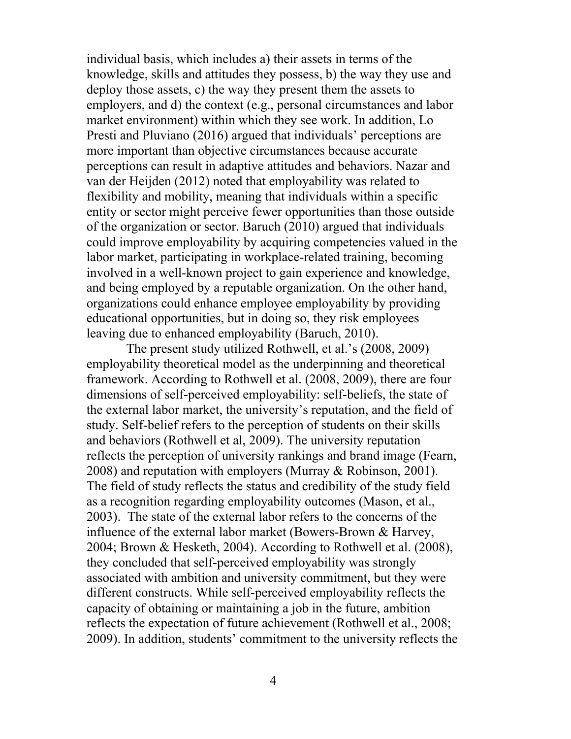individual basis, which includes a) their assets in terms of the knowledge, skills and attitudes they possess, b) the way they use and deploy those assets, c) the way they present them the assets to employers, and d) the context (e.g., personal circumstances and labor market environment) within which they see work. In addition, Lo Presti and Pluviano (2016) argued that individuals' perceptions are more important than objective circumstances because accurate perceptions can result in adaptive attitudes and behaviors. Nazar and van der Heijden (2012) noted that employability was related to flexibility and mobility, meaning that individuals within a specific entity or sector might perceive fewer opportunities than those outside of the organization or sector. Baruch (2010) argued that individuals could improve employability by acquiring competencies valued in the labor market, participating in workplace-related training, becoming involved in a well-known project to gain experience and knowledge, and being employed by a reputable organization. On the other hand, organizations could enhance employee employability by providing educational opportunities, but in doing so, they risk employees leaving due to enhanced employability (Baruch, 2010).

The present study utilized Rothwell, et al.'s (2008, 2009) employability theoretical model as the underpinning and theoretical framework. According to Rothwell et al. (2008, 2009), there are four dimensions of self-perceived employability: self-beliefs, the state of the external labor market, the university's reputation, and the field of study. Self-belief refers to the perception of students on their skills and behaviors (Rothwell et al, 2009). The university reputation reflects the perception of university rankings and brand image (Fearn, 2008) and reputation with employers (Murray & Robinson, 2001). The field of study reflects the status and credibility of the study field as a recognition regarding employability outcomes (Mason, et al., 2003). The state of the external labor refers to the concerns of the influence of the external labor market (Bowers-Brown & Harvey, 2004; Brown & Hesketh, 2004). According to Rothwell et al. (2008), they concluded that self-perceived employability was strongly associated with ambition and university commitment, but they were different constructs. While self-perceived employability reflects the capacity of obtaining or maintaining a job in the future, ambition reflects the expectation of future achievement (Rothwell et al., 2008; 2009). In addition, students' commitment to the university reflects the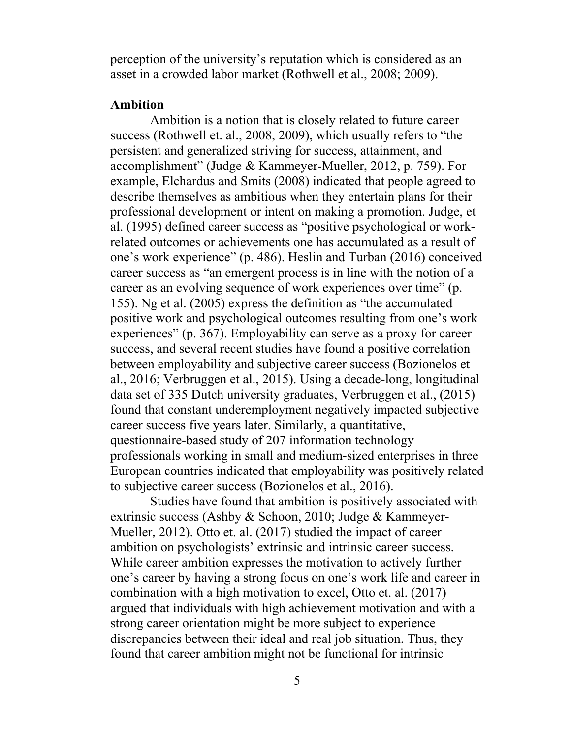perception of the university's reputation which is considered as an asset in a crowded labor market (Rothwell et al., 2008; 2009).

## **Ambition**

Ambition is a notion that is closely related to future career success (Rothwell et. al., 2008, 2009), which usually refers to "the persistent and generalized striving for success, attainment, and accomplishment" (Judge & Kammeyer-Mueller, 2012, p. 759). For example, Elchardus and Smits (2008) indicated that people agreed to describe themselves as ambitious when they entertain plans for their professional development or intent on making a promotion. Judge, et al. (1995) defined career success as "positive psychological or workrelated outcomes or achievements one has accumulated as a result of one's work experience" (p. 486). Heslin and Turban (2016) conceived career success as "an emergent process is in line with the notion of a career as an evolving sequence of work experiences over time" (p. 155). Ng et al. (2005) express the definition as "the accumulated positive work and psychological outcomes resulting from one's work experiences" (p. 367). Employability can serve as a proxy for career success, and several recent studies have found a positive correlation between employability and subjective career success (Bozionelos et al., 2016; Verbruggen et al., 2015). Using a decade-long, longitudinal data set of 335 Dutch university graduates, Verbruggen et al., (2015) found that constant underemployment negatively impacted subjective career success five years later. Similarly, a quantitative, questionnaire-based study of 207 information technology professionals working in small and medium-sized enterprises in three European countries indicated that employability was positively related to subjective career success (Bozionelos et al., 2016).

Studies have found that ambition is positively associated with extrinsic success (Ashby & Schoon, 2010; Judge & Kammeyer-Mueller, 2012). Otto et. al. (2017) studied the impact of career ambition on psychologists' extrinsic and intrinsic career success. While career ambition expresses the motivation to actively further one's career by having a strong focus on one's work life and career in combination with a high motivation to excel, Otto et. al. (2017) argued that individuals with high achievement motivation and with a strong career orientation might be more subject to experience discrepancies between their ideal and real job situation. Thus, they found that career ambition might not be functional for intrinsic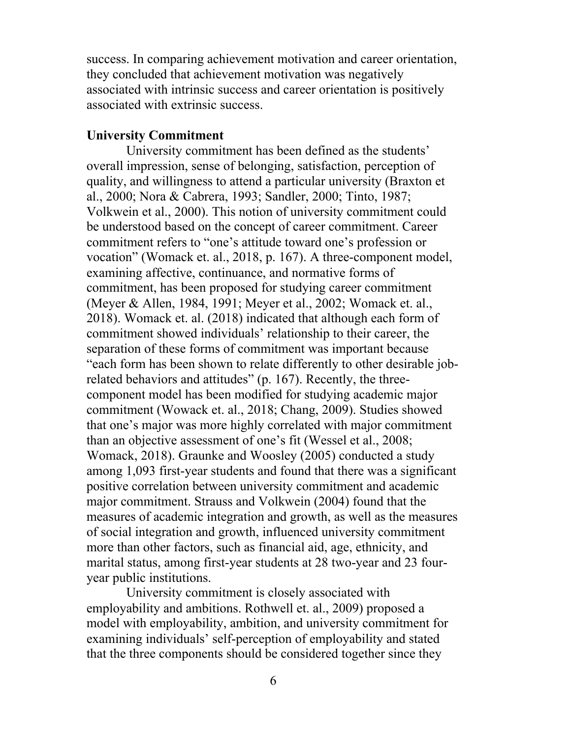success. In comparing achievement motivation and career orientation, they concluded that achievement motivation was negatively associated with intrinsic success and career orientation is positively associated with extrinsic success.

#### **University Commitment**

University commitment has been defined as the students' overall impression, sense of belonging, satisfaction, perception of quality, and willingness to attend a particular university (Braxton et al., 2000; Nora & Cabrera, 1993; Sandler, 2000; Tinto, 1987; Volkwein et al., 2000). This notion of university commitment could be understood based on the concept of career commitment. Career commitment refers to "one's attitude toward one's profession or vocation" (Womack et. al., 2018, p. 167). A three-component model, examining affective, continuance, and normative forms of commitment, has been proposed for studying career commitment (Meyer & Allen, 1984, 1991; Meyer et al., 2002; Womack et. al., 2018). Womack et. al. (2018) indicated that although each form of commitment showed individuals' relationship to their career, the separation of these forms of commitment was important because "each form has been shown to relate differently to other desirable jobrelated behaviors and attitudes" (p. 167). Recently, the threecomponent model has been modified for studying academic major commitment (Wowack et. al., 2018; Chang, 2009). Studies showed that one's major was more highly correlated with major commitment than an objective assessment of one's fit (Wessel et al., 2008; Womack, 2018). Graunke and Woosley (2005) conducted a study among 1,093 first-year students and found that there was a significant positive correlation between university commitment and academic major commitment. Strauss and Volkwein (2004) found that the measures of academic integration and growth, as well as the measures of social integration and growth, influenced university commitment more than other factors, such as financial aid, age, ethnicity, and marital status, among first-year students at 28 two-year and 23 fouryear public institutions.

University commitment is closely associated with employability and ambitions. Rothwell et. al., 2009) proposed a model with employability, ambition, and university commitment for examining individuals' self-perception of employability and stated that the three components should be considered together since they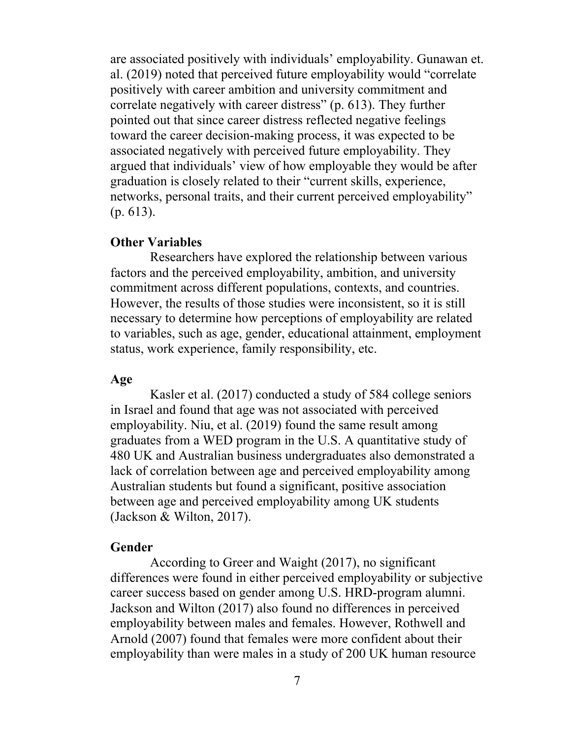are associated positively with individuals' employability. Gunawan et. al. (2019) noted that perceived future employability would "correlate positively with career ambition and university commitment and correlate negatively with career distress" (p. 613). They further pointed out that since career distress reflected negative feelings toward the career decision-making process, it was expected to be associated negatively with perceived future employability. They argued that individuals' view of how employable they would be after graduation is closely related to their "current skills, experience, networks, personal traits, and their current perceived employability" (p. 613).

#### **Other Variables**

Researchers have explored the relationship between various factors and the perceived employability, ambition, and university commitment across different populations, contexts, and countries. However, the results of those studies were inconsistent, so it is still necessary to determine how perceptions of employability are related to variables, such as age, gender, educational attainment, employment status, work experience, family responsibility, etc.

## **Age**

Kasler et al. (2017) conducted a study of 584 college seniors in Israel and found that age was not associated with perceived employability. Niu, et al. (2019) found the same result among graduates from a WED program in the U.S. A quantitative study of 480 UK and Australian business undergraduates also demonstrated a lack of correlation between age and perceived employability among Australian students but found a significant, positive association between age and perceived employability among UK students (Jackson & Wilton, 2017).

#### **Gender**

According to Greer and Waight (2017), no significant differences were found in either perceived employability or subjective career success based on gender among U.S. HRD-program alumni. Jackson and Wilton (2017) also found no differences in perceived employability between males and females. However, Rothwell and Arnold (2007) found that females were more confident about their employability than were males in a study of 200 UK human resource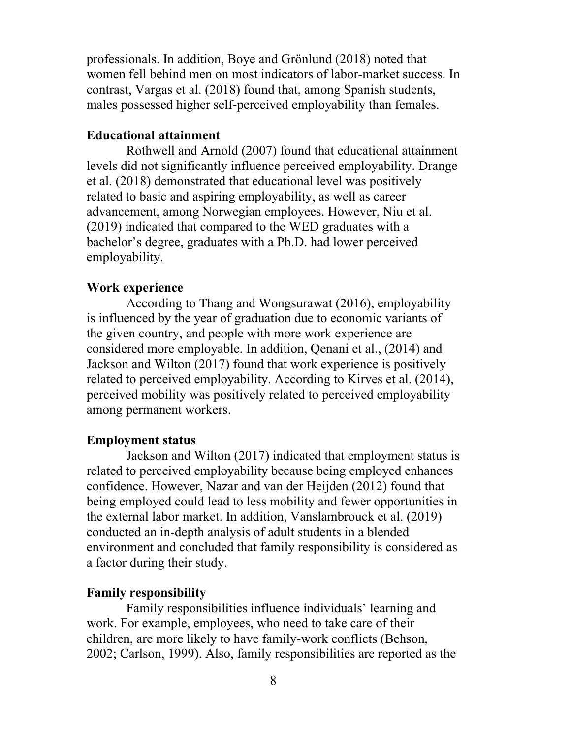professionals. In addition, Boye and Grönlund (2018) noted that women fell behind men on most indicators of labor-market success. In contrast, Vargas et al. (2018) found that, among Spanish students, males possessed higher self-perceived employability than females.

# **Educational attainment**

Rothwell and Arnold (2007) found that educational attainment levels did not significantly influence perceived employability. Drange et al. (2018) demonstrated that educational level was positively related to basic and aspiring employability, as well as career advancement, among Norwegian employees. However, Niu et al. (2019) indicated that compared to the WED graduates with a bachelor's degree, graduates with a Ph.D. had lower perceived employability.

## **Work experience**

According to Thang and Wongsurawat (2016), employability is influenced by the year of graduation due to economic variants of the given country, and people with more work experience are considered more employable. In addition, Qenani et al., (2014) and Jackson and Wilton (2017) found that work experience is positively related to perceived employability. According to Kirves et al. (2014), perceived mobility was positively related to perceived employability among permanent workers.

## **Employment status**

Jackson and Wilton (2017) indicated that employment status is related to perceived employability because being employed enhances confidence. However, Nazar and van der Heijden (2012) found that being employed could lead to less mobility and fewer opportunities in the external labor market. In addition, Vanslambrouck et al. (2019) conducted an in-depth analysis of adult students in a blended environment and concluded that family responsibility is considered as a factor during their study.

#### **Family responsibility**

Family responsibilities influence individuals' learning and work. For example, employees, who need to take care of their children, are more likely to have family-work conflicts (Behson, 2002; Carlson, 1999). Also, family responsibilities are reported as the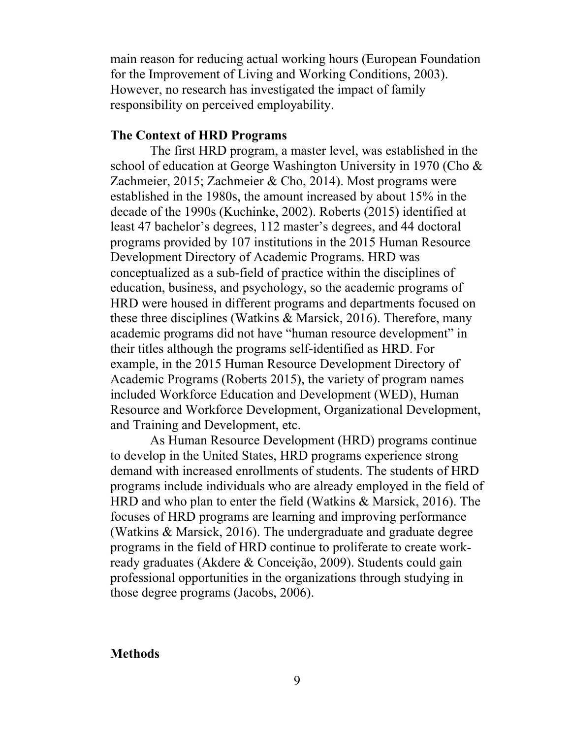main reason for reducing actual working hours (European Foundation for the Improvement of Living and Working Conditions, 2003). However, no research has investigated the impact of family responsibility on perceived employability.

## **The Context of HRD Programs**

The first HRD program, a master level, was established in the school of education at George Washington University in 1970 (Cho & Zachmeier, 2015; Zachmeier & Cho, 2014). Most programs were established in the 1980s, the amount increased by about 15% in the decade of the 1990s (Kuchinke, 2002). Roberts (2015) identified at least 47 bachelor's degrees, 112 master's degrees, and 44 doctoral programs provided by 107 institutions in the 2015 Human Resource Development Directory of Academic Programs. HRD was conceptualized as a sub-field of practice within the disciplines of education, business, and psychology, so the academic programs of HRD were housed in different programs and departments focused on these three disciplines (Watkins & Marsick, 2016). Therefore, many academic programs did not have "human resource development" in their titles although the programs self-identified as HRD. For example, in the 2015 Human Resource Development Directory of Academic Programs (Roberts 2015), the variety of program names included Workforce Education and Development (WED), Human Resource and Workforce Development, Organizational Development, and Training and Development, etc.

As Human Resource Development (HRD) programs continue to develop in the United States, HRD programs experience strong demand with increased enrollments of students. The students of HRD programs include individuals who are already employed in the field of HRD and who plan to enter the field (Watkins & Marsick, 2016). The focuses of HRD programs are learning and improving performance (Watkins & Marsick, 2016). The undergraduate and graduate degree programs in the field of HRD continue to proliferate to create workready graduates (Akdere & Conceição, 2009). Students could gain professional opportunities in the organizations through studying in those degree programs (Jacobs, 2006).

#### **Methods**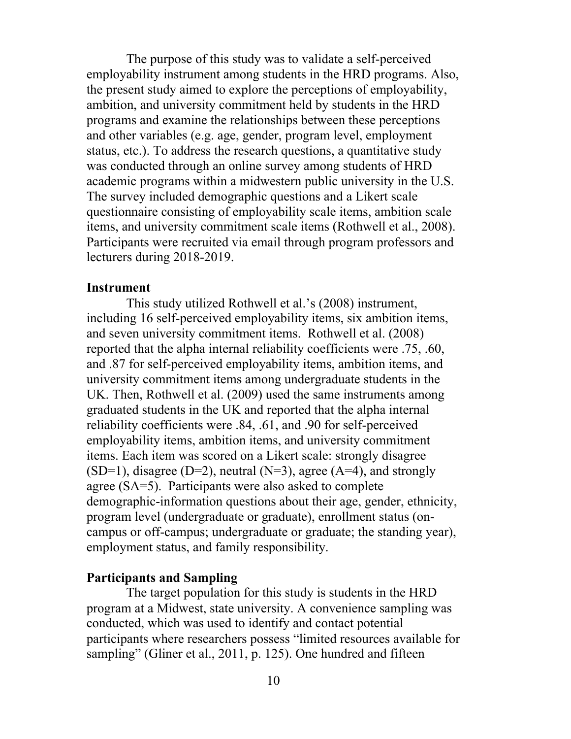The purpose of this study was to validate a self-perceived employability instrument among students in the HRD programs. Also, the present study aimed to explore the perceptions of employability, ambition, and university commitment held by students in the HRD programs and examine the relationships between these perceptions and other variables (e.g. age, gender, program level, employment status, etc.). To address the research questions, a quantitative study was conducted through an online survey among students of HRD academic programs within a midwestern public university in the U.S. The survey included demographic questions and a Likert scale questionnaire consisting of employability scale items, ambition scale items, and university commitment scale items (Rothwell et al., 2008). Participants were recruited via email through program professors and lecturers during 2018-2019.

## **Instrument**

This study utilized Rothwell et al.'s (2008) instrument, including 16 self-perceived employability items, six ambition items, and seven university commitment items. Rothwell et al. (2008) reported that the alpha internal reliability coefficients were .75, .60, and .87 for self-perceived employability items, ambition items, and university commitment items among undergraduate students in the UK. Then, Rothwell et al. (2009) used the same instruments among graduated students in the UK and reported that the alpha internal reliability coefficients were .84, .61, and .90 for self-perceived employability items, ambition items, and university commitment items. Each item was scored on a Likert scale: strongly disagree  $(SD=1)$ , disagree  $(D=2)$ , neutral  $(N=3)$ , agree  $(A=4)$ , and strongly agree (SA=5). Participants were also asked to complete demographic-information questions about their age, gender, ethnicity, program level (undergraduate or graduate), enrollment status (oncampus or off-campus; undergraduate or graduate; the standing year), employment status, and family responsibility.

## **Participants and Sampling**

The target population for this study is students in the HRD program at a Midwest, state university. A convenience sampling was conducted, which was used to identify and contact potential participants where researchers possess "limited resources available for sampling" (Gliner et al., 2011, p. 125). One hundred and fifteen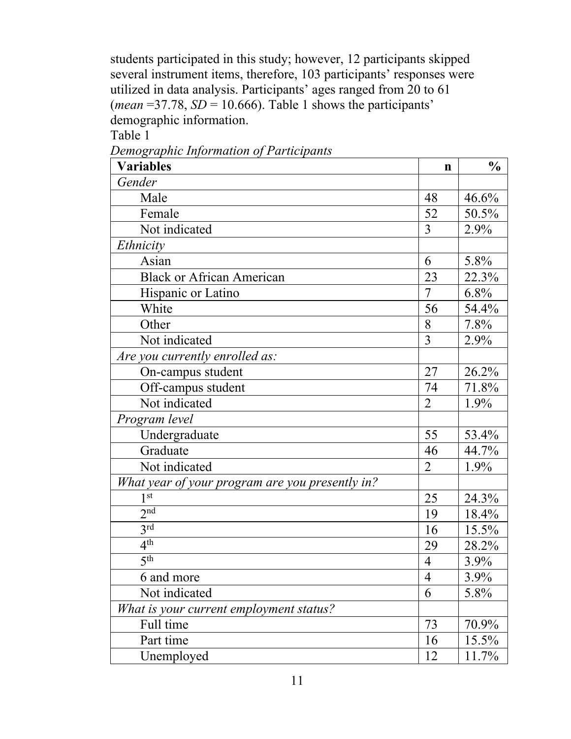students participated in this study; however, 12 participants skipped several instrument items, therefore, 103 participants' responses were utilized in data analysis. Participants' ages ranged from 20 to 61 (*mean* = 37.78,  $SD = 10.666$ ). Table 1 shows the participants' demographic information.

Table 1

*Demographic Information of Participants*

| <b>Variables</b>                                | $\mathbf n$    | $\frac{0}{0}$ |
|-------------------------------------------------|----------------|---------------|
| Gender                                          |                |               |
| Male                                            | 48             | 46.6%         |
| Female                                          | 52             | 50.5%         |
| Not indicated                                   | 3              | 2.9%          |
| Ethnicity                                       |                |               |
| Asian                                           | 6              | 5.8%          |
| <b>Black or African American</b>                | 23             | 22.3%         |
| Hispanic or Latino                              | $\overline{7}$ | 6.8%          |
| White                                           | 56             | 54.4%         |
| Other                                           | 8              | 7.8%          |
| Not indicated                                   | 3              | 2.9%          |
| Are you currently enrolled as:                  |                |               |
| On-campus student                               | 27             | 26.2%         |
| Off-campus student                              | 74             | 71.8%         |
| Not indicated                                   | $\overline{2}$ | 1.9%          |
| Program level                                   |                |               |
| Undergraduate                                   | 55             | 53.4%         |
| Graduate                                        | 46             | 44.7%         |
| Not indicated                                   | $\overline{2}$ | 1.9%          |
| What year of your program are you presently in? |                |               |
| 1 <sup>st</sup>                                 | 25             | 24.3%         |
| 2 <sup>nd</sup>                                 | 19             | 18.4%         |
| 3 <sup>rd</sup>                                 | 16             | 15.5%         |
| 4 <sup>th</sup>                                 | 29             | 28.2%         |
| 5 <sup>th</sup>                                 | $\overline{4}$ | 3.9%          |
| 6 and more                                      | $\overline{4}$ | 3.9%          |
| Not indicated                                   | 6              | 5.8%          |
| What is your current employment status?         |                |               |
| Full time                                       | 73             | 70.9%         |
| Part time                                       | 16             | 15.5%         |
| Unemployed                                      | 12             | 11.7%         |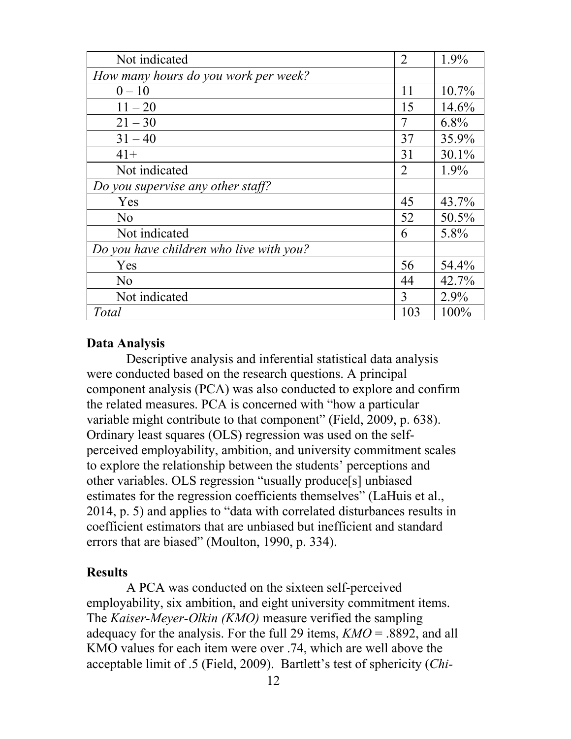| Not indicated                           | $\overline{2}$ | 1.9%    |
|-----------------------------------------|----------------|---------|
| How many hours do you work per week?    |                |         |
| $0 - 10$                                | 11             | 10.7%   |
| $11 - 20$                               | 15             | 14.6%   |
| $21 - 30$                               | 7              | $6.8\%$ |
| $31 - 40$                               | 37             | 35.9%   |
| $41+$                                   | 31             | 30.1%   |
| Not indicated                           | $\overline{2}$ | 1.9%    |
| Do you supervise any other staff?       |                |         |
| Yes                                     | 45             | 43.7%   |
| No                                      | 52             | 50.5%   |
| Not indicated                           | 6              | 5.8%    |
| Do you have children who live with you? |                |         |
| Yes                                     | 56             | 54.4%   |
| N <sub>o</sub>                          | 44             | 42.7%   |
| Not indicated                           | 3              | 2.9%    |
| Total                                   | 103            | 100%    |

## **Data Analysis**

Descriptive analysis and inferential statistical data analysis were conducted based on the research questions. A principal component analysis (PCA) was also conducted to explore and confirm the related measures. PCA is concerned with "how a particular variable might contribute to that component" (Field, 2009, p. 638). Ordinary least squares (OLS) regression was used on the selfperceived employability, ambition, and university commitment scales to explore the relationship between the students' perceptions and other variables. OLS regression "usually produce[s] unbiased estimates for the regression coefficients themselves" (LaHuis et al., 2014, p. 5) and applies to "data with correlated disturbances results in coefficient estimators that are unbiased but inefficient and standard errors that are biased" (Moulton, 1990, p. 334).

# **Results**

A PCA was conducted on the sixteen self-perceived employability, six ambition, and eight university commitment items. The *Kaiser-Meyer-Olkin (KMO)* measure verified the sampling adequacy for the analysis. For the full 29 items, *KMO* = .8892, and all KMO values for each item were over .74, which are well above the acceptable limit of .5 (Field, 2009). Bartlett's test of sphericity (*Chi-*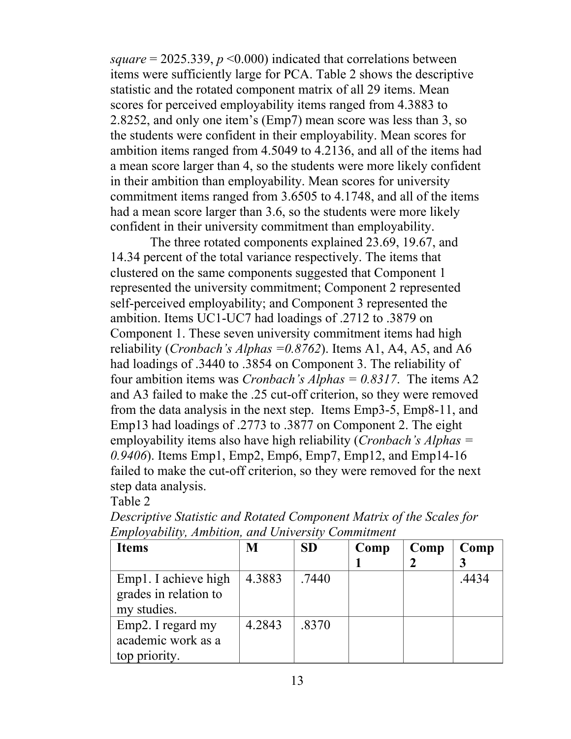*square* = 2025.339, *p* <0.000) indicated that correlations between items were sufficiently large for PCA. Table 2 shows the descriptive statistic and the rotated component matrix of all 29 items. Mean scores for perceived employability items ranged from 4.3883 to 2.8252, and only one item's (Emp7) mean score was less than 3, so the students were confident in their employability. Mean scores for ambition items ranged from 4.5049 to 4.2136, and all of the items had a mean score larger than 4, so the students were more likely confident in their ambition than employability. Mean scores for university commitment items ranged from 3.6505 to 4.1748, and all of the items had a mean score larger than 3.6, so the students were more likely confident in their university commitment than employability.

The three rotated components explained 23.69, 19.67, and 14.34 percent of the total variance respectively. The items that clustered on the same components suggested that Component 1 represented the university commitment; Component 2 represented self-perceived employability; and Component 3 represented the ambition. Items UC1-UC7 had loadings of .2712 to .3879 on Component 1. These seven university commitment items had high reliability (*Cronbach's Alphas =0.8762*). Items A1, A4, A5, and A6 had loadings of .3440 to .3854 on Component 3. The reliability of four ambition items was *Cronbach's Alphas = 0.8317*. The items A2 and A3 failed to make the .25 cut-off criterion, so they were removed from the data analysis in the next step. Items Emp3-5, Emp8-11, and Emp13 had loadings of .2773 to .3877 on Component 2. The eight employability items also have high reliability (*Cronbach's Alphas = 0.9406*). Items Emp1, Emp2, Emp6, Emp7, Emp12, and Emp14-16 failed to make the cut-off criterion, so they were removed for the next step data analysis.

Table 2

| <b>Items</b>          | M      | <b>SD</b> | Comp | Comp | Comp  |
|-----------------------|--------|-----------|------|------|-------|
|                       |        |           |      |      |       |
| Emp1. I achieve high  | 4.3883 | .7440     |      |      | .4434 |
| grades in relation to |        |           |      |      |       |
| my studies.           |        |           |      |      |       |
| Emp2. I regard my     | 4.2843 | .8370     |      |      |       |
| academic work as a    |        |           |      |      |       |
| top priority.         |        |           |      |      |       |

*Descriptive Statistic and Rotated Component Matrix of the Scales for Employability, Ambition, and University Commitment*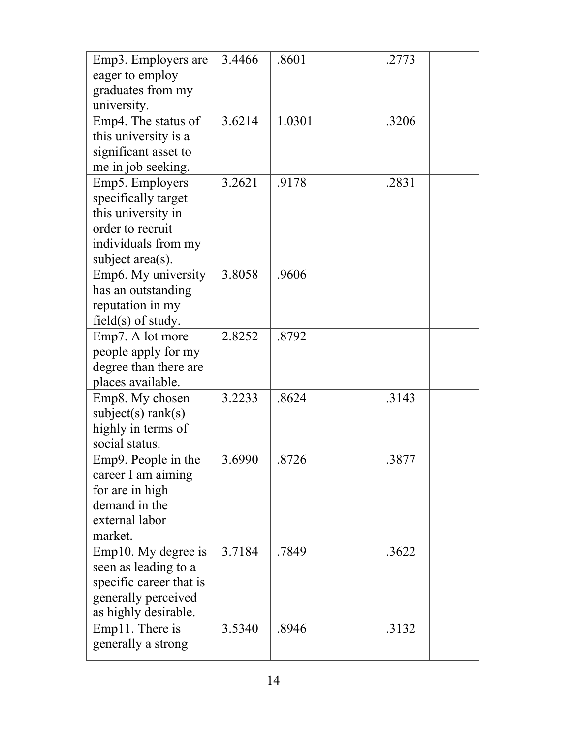| Emp3. Employers are     | 3.4466 | .8601  | .2773 |  |
|-------------------------|--------|--------|-------|--|
| eager to employ         |        |        |       |  |
| graduates from my       |        |        |       |  |
| university.             |        |        |       |  |
| Emp4. The status of     | 3.6214 | 1.0301 | .3206 |  |
| this university is a    |        |        |       |  |
| significant asset to    |        |        |       |  |
| me in job seeking.      |        |        |       |  |
| Emp5. Employers         | 3.2621 | .9178  | .2831 |  |
| specifically target     |        |        |       |  |
| this university in      |        |        |       |  |
| order to recruit        |        |        |       |  |
| individuals from my     |        |        |       |  |
| subject area(s).        |        |        |       |  |
| Emp6. My university     | 3.8058 | .9606  |       |  |
| has an outstanding      |        |        |       |  |
| reputation in my        |        |        |       |  |
| $field(s)$ of study.    |        |        |       |  |
| Emp7. A lot more        | 2.8252 | .8792  |       |  |
| people apply for my     |        |        |       |  |
| degree than there are   |        |        |       |  |
| places available.       |        |        |       |  |
| Emp8. My chosen         | 3.2233 | .8624  | .3143 |  |
| subject(s) rank(s)      |        |        |       |  |
| highly in terms of      |        |        |       |  |
| social status.          |        |        |       |  |
| Emp9. People in the     | 3.6990 | .8726  | .3877 |  |
| career I am aiming      |        |        |       |  |
| for are in high         |        |        |       |  |
| demand in the           |        |        |       |  |
| external labor          |        |        |       |  |
| market.                 |        |        |       |  |
| Emp10. My degree is     | 3.7184 | .7849  | .3622 |  |
| seen as leading to a    |        |        |       |  |
| specific career that is |        |        |       |  |
| generally perceived     |        |        |       |  |
| as highly desirable.    |        |        |       |  |
| Emp11. There is         | 3.5340 | .8946  | .3132 |  |
| generally a strong      |        |        |       |  |
|                         |        |        |       |  |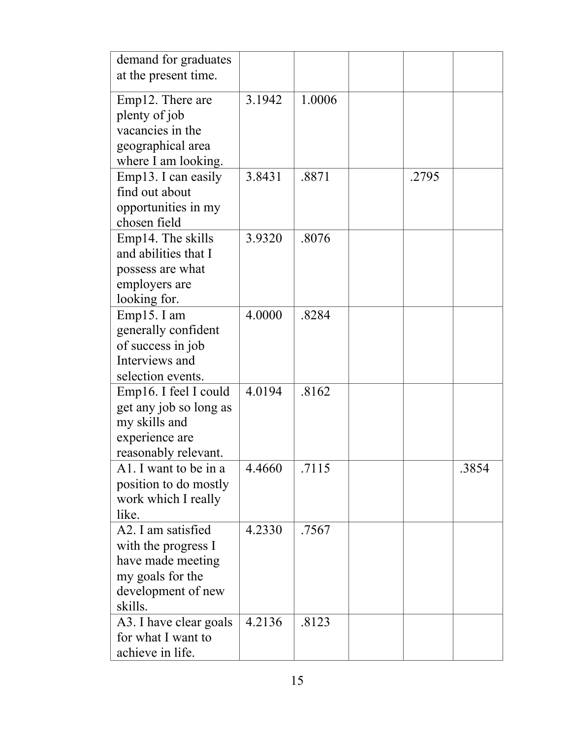| demand for graduates   |        |        |       |       |
|------------------------|--------|--------|-------|-------|
| at the present time.   |        |        |       |       |
|                        |        |        |       |       |
| Emp12. There are       | 3.1942 | 1.0006 |       |       |
| plenty of job          |        |        |       |       |
| vacancies in the       |        |        |       |       |
| geographical area      |        |        |       |       |
| where I am looking.    |        |        |       |       |
| Emp13. I can easily    | 3.8431 | .8871  | .2795 |       |
| find out about         |        |        |       |       |
| opportunities in my    |        |        |       |       |
| chosen field           |        |        |       |       |
| Emp14. The skills      | 3.9320 | .8076  |       |       |
| and abilities that I   |        |        |       |       |
| possess are what       |        |        |       |       |
| employers are          |        |        |       |       |
| looking for.           |        |        |       |       |
| Emp15. I am            | 4.0000 | .8284  |       |       |
| generally confident    |        |        |       |       |
| of success in job      |        |        |       |       |
| Interviews and         |        |        |       |       |
| selection events.      |        |        |       |       |
| Emp16. I feel I could  | 4.0194 | .8162  |       |       |
| get any job so long as |        |        |       |       |
| my skills and          |        |        |       |       |
| experience are         |        |        |       |       |
| reasonably relevant.   |        |        |       |       |
| Al. I want to be in a  | 4.4660 | .7115  |       | .3854 |
| position to do mostly  |        |        |       |       |
| work which I really    |        |        |       |       |
| like.                  |        |        |       |       |
| A2. I am satisfied     | 4.2330 | .7567  |       |       |
| with the progress I    |        |        |       |       |
| have made meeting      |        |        |       |       |
| my goals for the       |        |        |       |       |
| development of new     |        |        |       |       |
| skills.                |        |        |       |       |
| A3. I have clear goals | 4.2136 | .8123  |       |       |
| for what I want to     |        |        |       |       |
| achieve in life.       |        |        |       |       |
|                        |        |        |       |       |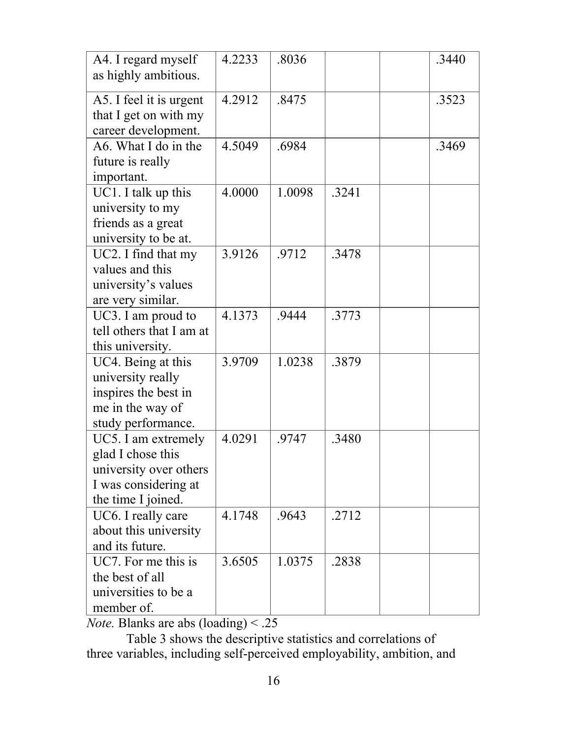| A4. I regard myself<br>as highly ambitious.                                                                      | 4.2233 | .8036  |       | .3440 |
|------------------------------------------------------------------------------------------------------------------|--------|--------|-------|-------|
| A5. I feel it is urgent<br>that I get on with my<br>career development.                                          | 4.2912 | .8475  |       | .3523 |
| A6. What I do in the<br>future is really<br>important.                                                           | 4.5049 | .6984  |       | .3469 |
| UC1. I talk up this<br>university to my<br>friends as a great<br>university to be at.                            | 4.0000 | 1.0098 | .3241 |       |
| UC2. I find that my<br>values and this<br>university's values<br>are very similar.                               | 3.9126 | .9712  | .3478 |       |
| UC3. I am proud to<br>tell others that I am at<br>this university.                                               | 4.1373 | .9444  | .3773 |       |
| UC4. Being at this<br>university really<br>inspires the best in<br>me in the way of<br>study performance.        | 3.9709 | 1.0238 | .3879 |       |
| UC5. I am extremely<br>glad I chose this<br>university over others<br>I was considering at<br>the time I joined. | 4.0291 | .9747  | .3480 |       |
| UC6. I really care<br>about this university<br>and its future.                                                   | 4.1748 | .9643  | .2712 |       |
| UC7. For me this is<br>the best of all<br>universities to be a<br>member of.                                     | 3.6505 | 1.0375 | .2838 |       |

*Note.* Blanks are abs (loading) < .25

Table 3 shows the descriptive statistics and correlations of three variables, including self-perceived employability, ambition, and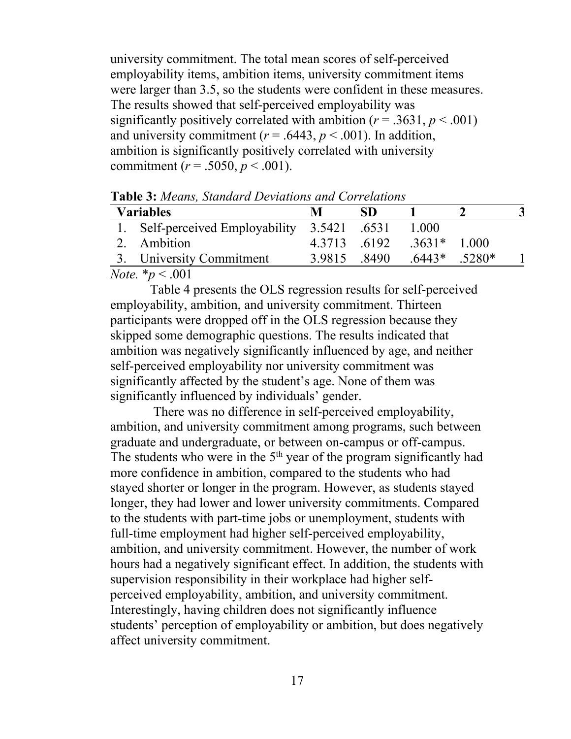university commitment. The total mean scores of self-perceived employability items, ambition items, university commitment items were larger than 3.5, so the students were confident in these measures. The results showed that self-perceived employability was significantly positively correlated with ambition  $(r = .3631, p < .001)$ and university commitment ( $r = .6443$ ,  $p < .001$ ). In addition, ambition is significantly positively correlated with university commitment ( $r = .5050, p < .001$ ).

| <b>Variables</b>                             |              | SD. |                 |  |
|----------------------------------------------|--------------|-----|-----------------|--|
| 1. Self-perceived Employability 3.5421 .6531 |              |     | 1.000           |  |
| 2. Ambition                                  | 4.3713 .6192 |     | $.3631*$ 1.000  |  |
| 3. University Commitment                     | 3.9815 .8490 |     | $.6443*$ .5280* |  |

**Table 3:** *Means, Standard Deviations and Correlations*

*Note.* \**p* < .001

Table 4 presents the OLS regression results for self-perceived employability, ambition, and university commitment. Thirteen participants were dropped off in the OLS regression because they skipped some demographic questions. The results indicated that ambition was negatively significantly influenced by age, and neither self-perceived employability nor university commitment was significantly affected by the student's age. None of them was significantly influenced by individuals' gender.

There was no difference in self-perceived employability, ambition, and university commitment among programs, such between graduate and undergraduate, or between on-campus or off-campus. The students who were in the  $5<sup>th</sup>$  year of the program significantly had more confidence in ambition, compared to the students who had stayed shorter or longer in the program. However, as students stayed longer, they had lower and lower university commitments. Compared to the students with part-time jobs or unemployment, students with full-time employment had higher self-perceived employability, ambition, and university commitment. However, the number of work hours had a negatively significant effect. In addition, the students with supervision responsibility in their workplace had higher selfperceived employability, ambition, and university commitment. Interestingly, having children does not significantly influence students' perception of employability or ambition, but does negatively affect university commitment.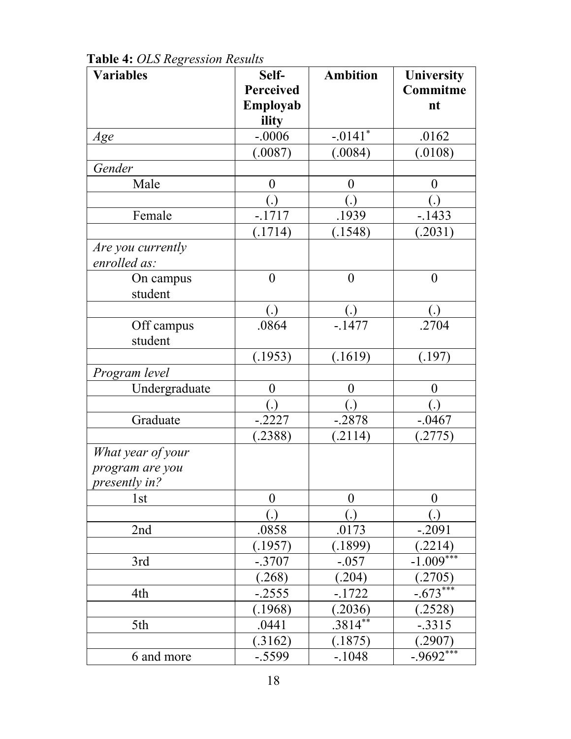| <b>Variables</b>  | Self-            | <b>Ambition</b>       | <b>University</b> |
|-------------------|------------------|-----------------------|-------------------|
|                   | <b>Perceived</b> |                       | Commitme          |
|                   | Employab         |                       | nt                |
|                   | ility            |                       |                   |
| Age               | $-.0006$         | $-.0141$ <sup>*</sup> | .0162             |
|                   | (.0087)          | (.0084)               | (.0108)           |
| Gender            |                  |                       |                   |
| Male              | $\boldsymbol{0}$ | $\boldsymbol{0}$      | $\overline{0}$    |
|                   | (.)              | (.)                   | (.)               |
| Female            | $-1717$          | .1939                 | $-1433$           |
|                   | (.1714)          | (.1548)               | (.2031)           |
| Are you currently |                  |                       |                   |
| enrolled as:      |                  |                       |                   |
| On campus         | $\overline{0}$   | $\overline{0}$        | $\overline{0}$    |
| student           |                  |                       |                   |
|                   | (.)              | (.)                   | (.)               |
| Off campus        | .0864            | $-1477$               | .2704             |
| student           |                  |                       |                   |
|                   | (.1953)          | (.1619)               | (.197)            |
| Program level     |                  |                       |                   |
| Undergraduate     | $\theta$         | $\overline{0}$        | $\theta$          |
|                   | (.)              | (.)                   |                   |
| Graduate          | $-.2227$         | $-.2878$              | $-.0467$          |
|                   | .2388)           | (.2114)               | (.2775)           |
| What year of your |                  |                       |                   |
| program are you   |                  |                       |                   |
| presently in?     |                  |                       |                   |
| 1st               | $\overline{0}$   | 0                     | 0                 |
|                   | (.)              | (.)                   | (.)               |
| 2nd               | .0858            | .0173                 | $-.2091$          |
|                   | (.1957)          | (.1899)               | (.2214)           |
| 3rd               | $-.3707$         | $-.057$               | $-1.009***$       |
|                   | (.268)           | (.204)                | (.2705)           |
| 4th               | $-.2555$         | $-1722$               | $-0.673***$       |
|                   | (.1968)          | (.2036)               | (.2528)           |
| 5th               | .0441            | $.3814**$             | $-.3315$          |
|                   | (.3162)          | (.1875)               | (.2907)           |
| 6 and more        | $-.5599$         | $-.1048$              | $-.9692$ ***      |

**Table 4:** *OLS Regression Results*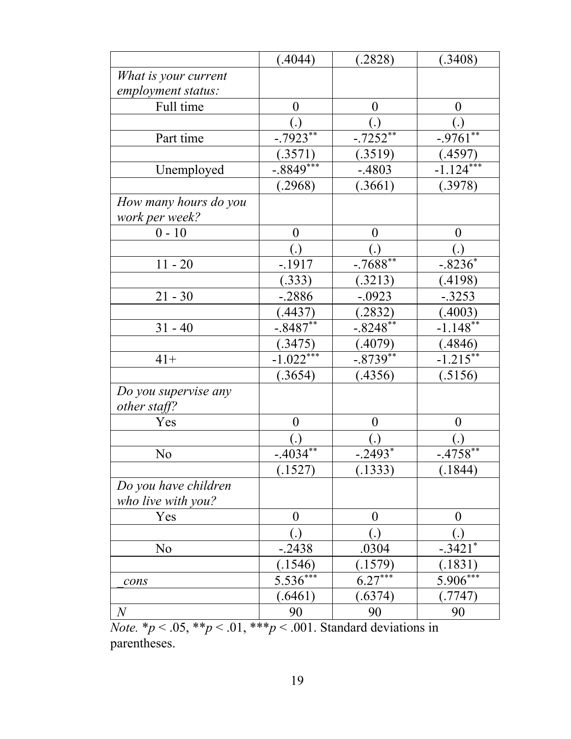|                                            | (.4044)                 | (.2828)        | (.3408)              |
|--------------------------------------------|-------------------------|----------------|----------------------|
| What is your current                       |                         |                |                      |
| employment status:                         |                         |                |                      |
| Full time                                  | 0                       | $\overline{0}$ | $\theta$             |
|                                            |                         |                |                      |
| Part time                                  | $-0.7923**$             | $-0.7252**$    | $-9761**$            |
|                                            | (.3571)                 | (.3519)        | (.4597)              |
| Unemployed                                 | $-0.8849***$            | $-.4803$       | $-1.124$             |
|                                            | (.2968)                 | (.3661)        | (.3978)              |
| How many hours do you<br>work per week?    |                         |                |                      |
| $0 - 10$                                   | $\boldsymbol{0}$        | $\overline{0}$ | $\theta$             |
|                                            |                         |                |                      |
| $11 - 20$                                  | $-1917$                 | $-7688**$      | $-8236*$             |
|                                            | (.333)                  | (.3213)        | (.4198)              |
| $21 - 30$                                  | $-.2886$                | $-.0923$       | $-.3253$             |
|                                            | (.4437)                 | (.2832)        | (.4003)              |
| $31 - 40$                                  | $-.8487**$              | $-.8248***$    | $-1.148***$          |
|                                            | (.3475)                 | (.4079)        | (.4846)              |
| $41+$                                      | $-1.022***$             | $-.8739**$     | $-1.215***$          |
|                                            | (.3654)                 | (.4356)        | (.5156)              |
| Do you supervise any<br>other staff?       |                         |                |                      |
| Yes                                        | $\boldsymbol{0}$        | $\overline{0}$ | $\theta$             |
|                                            |                         |                |                      |
| No                                         | $-403\overline{4^{**}}$ | $-.2493*$      | $-4758**$            |
|                                            | (.1527)                 | (.1333)        | (.1844)              |
| Do you have children<br>who live with you? |                         |                |                      |
| Yes                                        | $\boldsymbol{0}$        | $\theta$       | $\theta$             |
|                                            | (.)                     | (.)            |                      |
| No                                         | $-.2438$                | .0304          | $-3421$ <sup>*</sup> |
|                                            | (1546)                  | (.1579)        | (.1831)              |
| cons                                       | $5.536***$              | $6.27***$      | $5.906***$           |
|                                            | (.6461)                 | (.6374)        | (.7747)              |
| $\,N$                                      | 90                      | 90             | 90                   |

*Note.*  $* p < .05, ** p < .01, *** p < .001$ . Standard deviations in parentheses.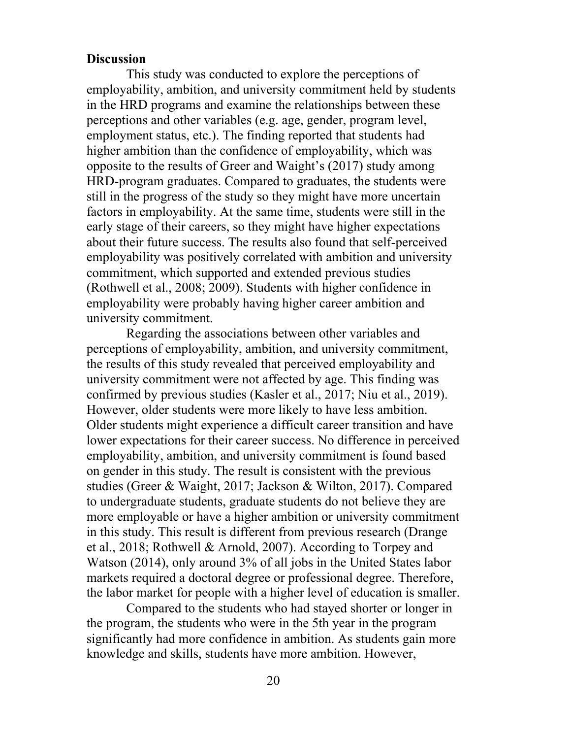#### **Discussion**

This study was conducted to explore the perceptions of employability, ambition, and university commitment held by students in the HRD programs and examine the relationships between these perceptions and other variables (e.g. age, gender, program level, employment status, etc.). The finding reported that students had higher ambition than the confidence of employability, which was opposite to the results of Greer and Waight's (2017) study among HRD-program graduates. Compared to graduates, the students were still in the progress of the study so they might have more uncertain factors in employability. At the same time, students were still in the early stage of their careers, so they might have higher expectations about their future success. The results also found that self-perceived employability was positively correlated with ambition and university commitment, which supported and extended previous studies (Rothwell et al., 2008; 2009). Students with higher confidence in employability were probably having higher career ambition and university commitment.

Regarding the associations between other variables and perceptions of employability, ambition, and university commitment, the results of this study revealed that perceived employability and university commitment were not affected by age. This finding was confirmed by previous studies (Kasler et al., 2017; Niu et al., 2019). However, older students were more likely to have less ambition. Older students might experience a difficult career transition and have lower expectations for their career success. No difference in perceived employability, ambition, and university commitment is found based on gender in this study. The result is consistent with the previous studies (Greer & Waight, 2017; Jackson & Wilton, 2017). Compared to undergraduate students, graduate students do not believe they are more employable or have a higher ambition or university commitment in this study. This result is different from previous research (Drange et al., 2018; Rothwell & Arnold, 2007). According to Torpey and Watson (2014), only around 3% of all jobs in the United States labor markets required a doctoral degree or professional degree. Therefore, the labor market for people with a higher level of education is smaller.

Compared to the students who had stayed shorter or longer in the program, the students who were in the 5th year in the program significantly had more confidence in ambition. As students gain more knowledge and skills, students have more ambition. However,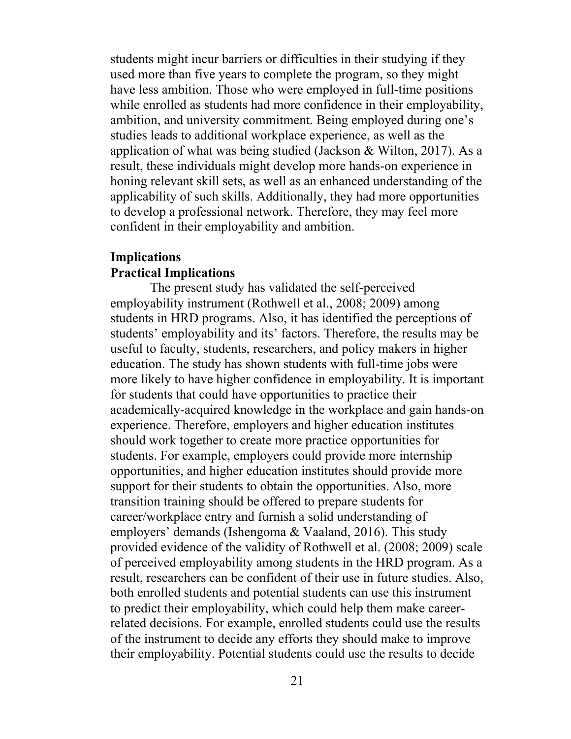students might incur barriers or difficulties in their studying if they used more than five years to complete the program, so they might have less ambition. Those who were employed in full-time positions while enrolled as students had more confidence in their employability, ambition, and university commitment. Being employed during one's studies leads to additional workplace experience, as well as the application of what was being studied (Jackson & Wilton, 2017). As a result, these individuals might develop more hands-on experience in honing relevant skill sets, as well as an enhanced understanding of the applicability of such skills. Additionally, they had more opportunities to develop a professional network. Therefore, they may feel more confident in their employability and ambition.

# **Implications Practical Implications**

The present study has validated the self-perceived employability instrument (Rothwell et al., 2008; 2009) among students in HRD programs. Also, it has identified the perceptions of students' employability and its' factors. Therefore, the results may be useful to faculty, students, researchers, and policy makers in higher education. The study has shown students with full-time jobs were more likely to have higher confidence in employability. It is important for students that could have opportunities to practice their academically-acquired knowledge in the workplace and gain hands-on experience. Therefore, employers and higher education institutes should work together to create more practice opportunities for students. For example, employers could provide more internship opportunities, and higher education institutes should provide more support for their students to obtain the opportunities. Also, more transition training should be offered to prepare students for career/workplace entry and furnish a solid understanding of employers' demands (Ishengoma & Vaaland, 2016). This study provided evidence of the validity of Rothwell et al. (2008; 2009) scale of perceived employability among students in the HRD program. As a result, researchers can be confident of their use in future studies. Also, both enrolled students and potential students can use this instrument to predict their employability, which could help them make careerrelated decisions. For example, enrolled students could use the results of the instrument to decide any efforts they should make to improve their employability. Potential students could use the results to decide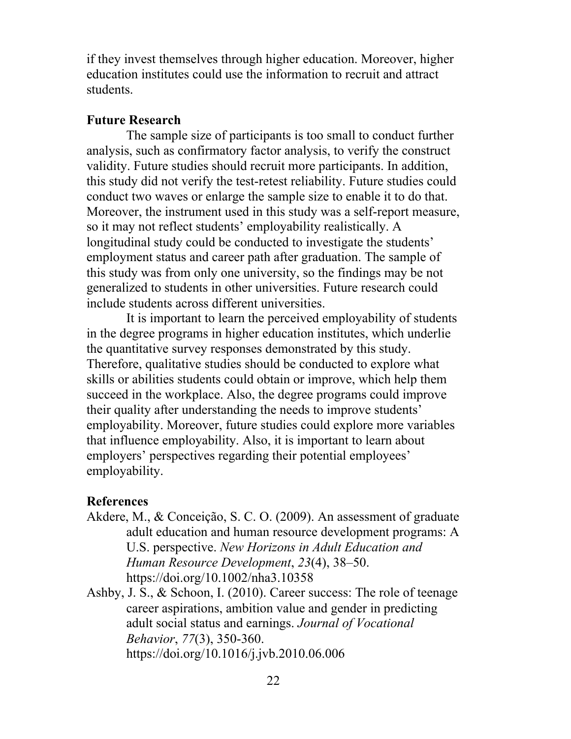if they invest themselves through higher education. Moreover, higher education institutes could use the information to recruit and attract students.

# **Future Research**

The sample size of participants is too small to conduct further analysis, such as confirmatory factor analysis, to verify the construct validity. Future studies should recruit more participants. In addition, this study did not verify the test-retest reliability. Future studies could conduct two waves or enlarge the sample size to enable it to do that. Moreover, the instrument used in this study was a self-report measure, so it may not reflect students' employability realistically. A longitudinal study could be conducted to investigate the students' employment status and career path after graduation. The sample of this study was from only one university, so the findings may be not generalized to students in other universities. Future research could include students across different universities.

It is important to learn the perceived employability of students in the degree programs in higher education institutes, which underlie the quantitative survey responses demonstrated by this study. Therefore, qualitative studies should be conducted to explore what skills or abilities students could obtain or improve, which help them succeed in the workplace. Also, the degree programs could improve their quality after understanding the needs to improve students' employability. Moreover, future studies could explore more variables that influence employability. Also, it is important to learn about employers' perspectives regarding their potential employees' employability.

#### **References**

- Akdere, M., & Conceição, S. C. O. (2009). An assessment of graduate adult education and human resource development programs: A U.S. perspective. *New Horizons in Adult Education and Human Resource Development*, *23*(4), 38–50. https://doi.org/10.1002/nha3.10358
- Ashby, J. S., & Schoon, I. (2010). Career success: The role of teenage career aspirations, ambition value and gender in predicting adult social status and earnings. *Journal of Vocational Behavior*, *77*(3), 350-360. https://doi.org/10.1016/j.jvb.2010.06.006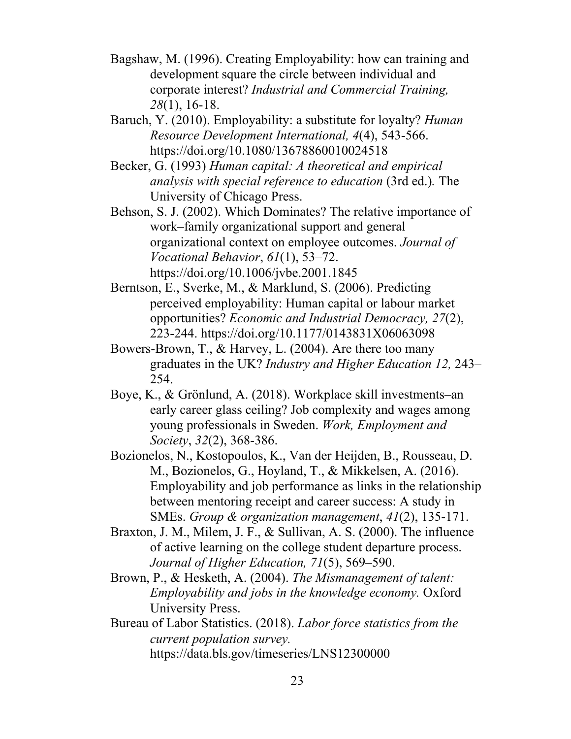- Bagshaw, M. (1996). Creating Employability: how can training and development square the circle between individual and corporate interest? *Industrial and Commercial Training, 28*(1), 16-18.
- Baruch, Y. (2010). Employability: a substitute for loyalty? *Human Resource Development International, 4*(4), 543-566. https://doi.org/10.1080/13678860010024518
- Becker, G. (1993) *Human capital: A theoretical and empirical analysis with special reference to education* (3rd ed.)*.* The University of Chicago Press.

Behson, S. J. (2002). Which Dominates? The relative importance of work–family organizational support and general organizational context on employee outcomes. *Journal of Vocational Behavior*, *61*(1), 53–72. https://doi.org/10.1006/jvbe.2001.1845

- Berntson, E., Sverke, M., & Marklund, S. (2006). Predicting perceived employability: Human capital or labour market opportunities? *Economic and Industrial Democracy, 27*(2), 223-244. https://doi.org/10.1177/0143831X06063098
- Bowers-Brown, T., & Harvey, L. (2004). Are there too many graduates in the UK? *Industry and Higher Education 12,* 243– 254.
- Boye, K., & Grönlund, A. (2018). Workplace skill investments–an early career glass ceiling? Job complexity and wages among young professionals in Sweden. *Work, Employment and Society*, *32*(2), 368-386.
- Bozionelos, N., Kostopoulos, K., Van der Heijden, B., Rousseau, D. M., Bozionelos, G., Hoyland, T., & Mikkelsen, A. (2016). Employability and job performance as links in the relationship between mentoring receipt and career success: A study in SMEs. *Group & organization management*, *41*(2), 135-171.
- Braxton, J. M., Milem, J. F., & Sullivan, A. S. (2000). The influence of active learning on the college student departure process. *Journal of Higher Education, 71*(5), 569–590.
- Brown, P., & Hesketh, A. (2004). *The Mismanagement of talent: Employability and jobs in the knowledge economy.* Oxford University Press.
- Bureau of Labor Statistics. (2018). *Labor force statistics from the current population survey.* https://data.bls.gov/timeseries/LNS12300000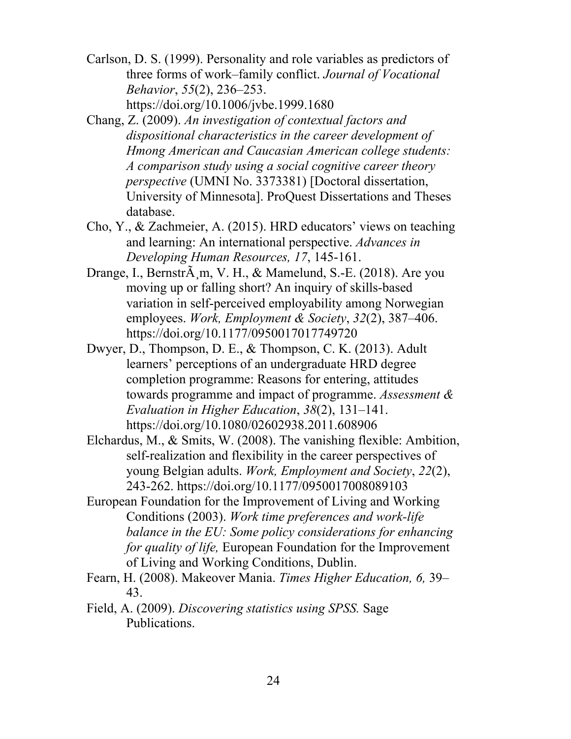- Carlson, D. S. (1999). Personality and role variables as predictors of three forms of work–family conflict. *Journal of Vocational Behavior*, *55*(2), 236–253. https://doi.org/10.1006/jvbe.1999.1680
- Chang, Z. (2009). *An investigation of contextual factors and dispositional characteristics in the career development of Hmong American and Caucasian American college students: A comparison study using a social cognitive career theory perspective* (UMNI No. 3373381) [Doctoral dissertation, University of Minnesota]. ProQuest Dissertations and Theses database.
- Cho, Y., & Zachmeier, A. (2015). HRD educators' views on teaching and learning: An international perspective. *Advances in Developing Human Resources, 17*, 145-161.
- Drange, I., Bernstr $\tilde{A}$  m, V. H., & Mamelund, S.-E. (2018). Are you moving up or falling short? An inquiry of skills-based variation in self-perceived employability among Norwegian employees. *Work, Employment & Society*, *32*(2), 387–406. https://doi.org/10.1177/0950017017749720
- Dwyer, D., Thompson, D. E., & Thompson, C. K. (2013). Adult learners' perceptions of an undergraduate HRD degree completion programme: Reasons for entering, attitudes towards programme and impact of programme. *Assessment & Evaluation in Higher Education*, *38*(2), 131–141. https://doi.org/10.1080/02602938.2011.608906
- Elchardus, M., & Smits, W. (2008). The vanishing flexible: Ambition, self-realization and flexibility in the career perspectives of young Belgian adults. *Work, Employment and Society*, *22*(2), 243-262. https://doi.org/10.1177/0950017008089103
- European Foundation for the Improvement of Living and Working Conditions (2003). *Work time preferences and work-life balance in the EU: Some policy considerations for enhancing for quality of life,* European Foundation for the Improvement of Living and Working Conditions, Dublin.
- Fearn, H. (2008). Makeover Mania. *Times Higher Education, 6,* 39– 43.
- Field, A. (2009). *Discovering statistics using SPSS.* Sage Publications.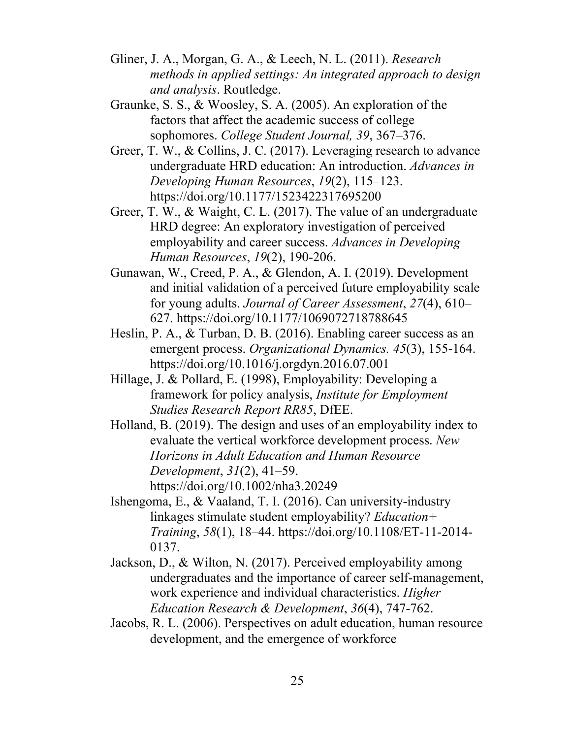- Gliner, J. A., Morgan, G. A., & Leech, N. L. (2011). *Research methods in applied settings: An integrated approach to design and analysis*. Routledge.
- Graunke, S. S., & Woosley, S. A. (2005). An exploration of the factors that affect the academic success of college sophomores. *College Student Journal, 39*, 367–376.
- Greer, T. W., & Collins, J. C. (2017). Leveraging research to advance undergraduate HRD education: An introduction. *Advances in Developing Human Resources*, *19*(2), 115–123. https://doi.org/10.1177/1523422317695200
- Greer, T. W., & Waight, C. L. (2017). The value of an undergraduate HRD degree: An exploratory investigation of perceived employability and career success. *Advances in Developing Human Resources*, *19*(2), 190-206.
- Gunawan, W., Creed, P. A., & Glendon, A. I. (2019). Development and initial validation of a perceived future employability scale for young adults. *Journal of Career Assessment*, *27*(4), 610– 627. https://doi.org/10.1177/1069072718788645
- Heslin, P. A., & Turban, D. B. (2016). Enabling career success as an emergent process. *Organizational Dynamics. 45*(3), 155-164. https://doi.org/10.1016/j.orgdyn.2016.07.001
- Hillage, J. & Pollard, E. (1998), Employability: Developing a framework for policy analysis, *Institute for Employment Studies Research Report RR85*, DfEE.
- Holland, B. (2019). The design and uses of an employability index to evaluate the vertical workforce development process. *New Horizons in Adult Education and Human Resource Development*, *31*(2), 41–59. https://doi.org/10.1002/nha3.20249
- Ishengoma, E., & Vaaland, T. I. (2016). Can university-industry linkages stimulate student employability? *Education+ Training*, *58*(1), 18–44. https://doi.org/10.1108/ET-11-2014- 0137.
- Jackson, D., & Wilton, N. (2017). Perceived employability among undergraduates and the importance of career self-management, work experience and individual characteristics. *Higher Education Research & Development*, *36*(4), 747-762.
- Jacobs, R. L. (2006). Perspectives on adult education, human resource development, and the emergence of workforce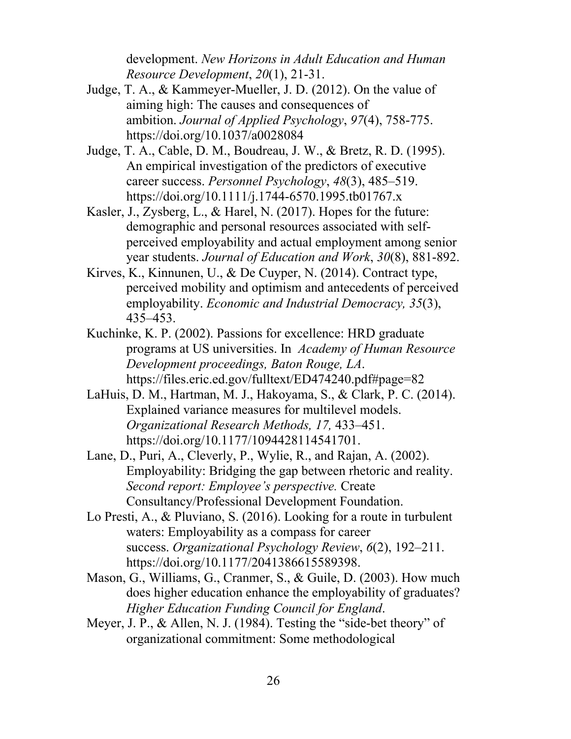development. *New Horizons in Adult Education and Human Resource Development*, *20*(1), 21-31.

- Judge, T. A., & Kammeyer-Mueller, J. D. (2012). On the value of aiming high: The causes and consequences of ambition. *Journal of Applied Psychology*, *97*(4), 758-775. https://doi.org/10.1037/a0028084
- Judge, T. A., Cable, D. M., Boudreau, J. W., & Bretz, R. D. (1995). An empirical investigation of the predictors of executive career success. *Personnel Psychology*, *48*(3), 485–519. https://doi.org/10.1111/j.1744-6570.1995.tb01767.x
- Kasler, J., Zysberg, L., & Harel, N. (2017). Hopes for the future: demographic and personal resources associated with selfperceived employability and actual employment among senior year students. *Journal of Education and Work*, *30*(8), 881-892.
- Kirves, K., Kinnunen, U., & De Cuyper, N. (2014). Contract type, perceived mobility and optimism and antecedents of perceived employability. *Economic and Industrial Democracy, 35*(3), 435–453.
- Kuchinke, K. P. (2002). Passions for excellence: HRD graduate programs at US universities. In *Academy of Human Resource Development proceedings, Baton Rouge, LA*. https://files.eric.ed.gov/fulltext/ED474240.pdf#page=82
- LaHuis, D. M., Hartman, M. J., Hakoyama, S., & Clark, P. C. (2014). Explained variance measures for multilevel models. *Organizational Research Methods, 17,* 433–451. https://doi.org/10.1177/1094428114541701.
- Lane, D., Puri, A., Cleverly, P., Wylie, R., and Rajan, A. (2002). Employability: Bridging the gap between rhetoric and reality. *Second report: Employee's perspective.* Create Consultancy/Professional Development Foundation.
- Lo Presti, A., & Pluviano, S. (2016). Looking for a route in turbulent waters: Employability as a compass for career success. *Organizational Psychology Review*, *6*(2), 192–211. https://doi.org/10.1177/2041386615589398.
- Mason, G., Williams, G., Cranmer, S., & Guile, D. (2003). How much does higher education enhance the employability of graduates? *Higher Education Funding Council for England*.
- Meyer, J. P., & Allen, N. J. (1984). Testing the "side-bet theory" of organizational commitment: Some methodological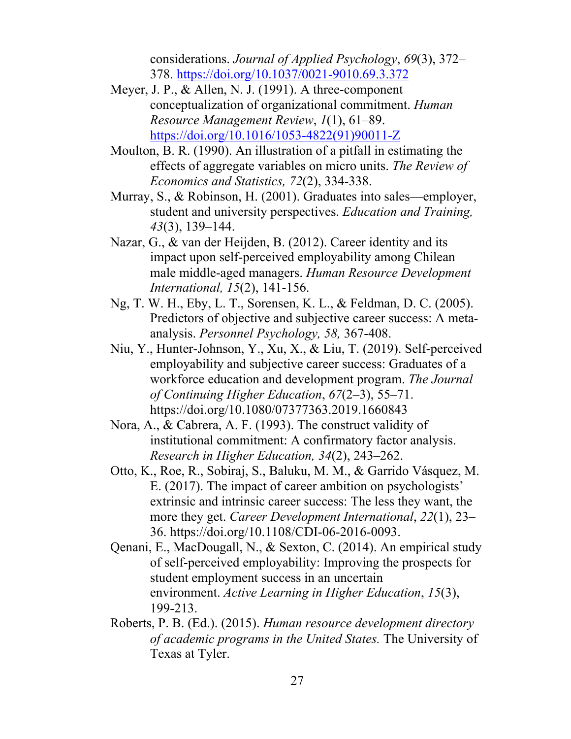considerations. *Journal of Applied Psychology*, *69*(3), 372– 378. https://doi.org/10.1037/0021-9010.69.3.372

- Meyer, J. P., & Allen, N. J. (1991). A three-component conceptualization of organizational commitment. *Human Resource Management Review*, *1*(1), 61–89. https://doi.org/10.1016/1053-4822(91)90011-Z
- Moulton, B. R. (1990). An illustration of a pitfall in estimating the effects of aggregate variables on micro units. *The Review of Economics and Statistics, 72*(2), 334-338.
- Murray, S., & Robinson, H. (2001). Graduates into sales—employer, student and university perspectives. *Education and Training, 43*(3), 139–144.
- Nazar, G., & van der Heijden, B. (2012). Career identity and its impact upon self-perceived employability among Chilean male middle-aged managers. *Human Resource Development International, 15*(2), 141-156.
- Ng, T. W. H., Eby, L. T., Sorensen, K. L., & Feldman, D. C. (2005). Predictors of objective and subjective career success: A metaanalysis. *Personnel Psychology, 58,* 367-408.
- Niu, Y., Hunter-Johnson, Y., Xu, X., & Liu, T. (2019). Self-perceived employability and subjective career success: Graduates of a workforce education and development program. *The Journal of Continuing Higher Education*, *67*(2–3), 55–71. https://doi.org/10.1080/07377363.2019.1660843
- Nora, A., & Cabrera, A. F. (1993). The construct validity of institutional commitment: A confirmatory factor analysis. *Research in Higher Education, 34*(2), 243–262.
- Otto, K., Roe, R., Sobiraj, S., Baluku, M. M., & Garrido Vásquez, M. E. (2017). The impact of career ambition on psychologists' extrinsic and intrinsic career success: The less they want, the more they get. *Career Development International*, *22*(1), 23– 36. https://doi.org/10.1108/CDI-06-2016-0093.
- Qenani, E., MacDougall, N., & Sexton, C. (2014). An empirical study of self-perceived employability: Improving the prospects for student employment success in an uncertain environment. *Active Learning in Higher Education*, *15*(3), 199-213.
- Roberts, P. B. (Ed.). (2015). *Human resource development directory of academic programs in the United States.* The University of Texas at Tyler.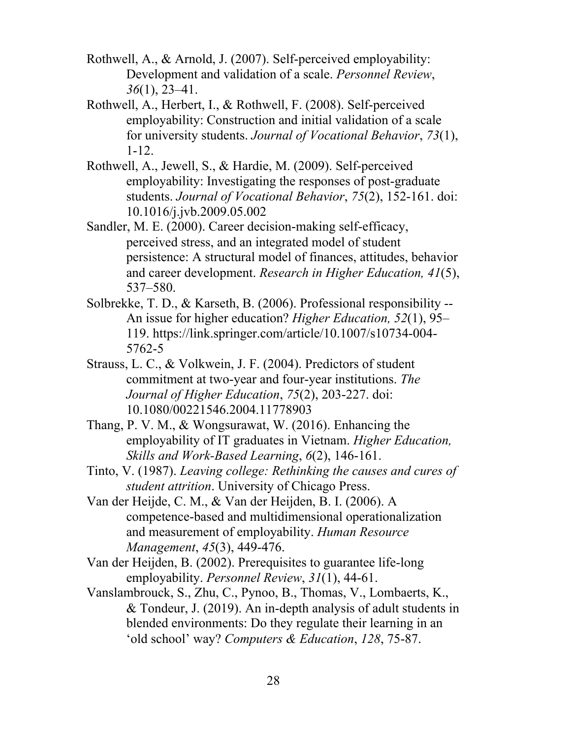- Rothwell, A., & Arnold, J. (2007). Self-perceived employability: Development and validation of a scale. *Personnel Review*, *36*(1), 23–41.
- Rothwell, A., Herbert, I., & Rothwell, F. (2008). Self-perceived employability: Construction and initial validation of a scale for university students. *Journal of Vocational Behavior*, *73*(1), 1-12.
- Rothwell, A., Jewell, S., & Hardie, M. (2009). Self-perceived employability: Investigating the responses of post-graduate students. *Journal of Vocational Behavior*, *75*(2), 152-161. doi: 10.1016/j.jvb.2009.05.002
- Sandler, M. E. (2000). Career decision-making self-efficacy, perceived stress, and an integrated model of student persistence: A structural model of finances, attitudes, behavior and career development. *Research in Higher Education, 41*(5), 537–580.
- Solbrekke, T. D., & Karseth, B. (2006). Professional responsibility -- An issue for higher education? *Higher Education, 52*(1), 95– 119. https://link.springer.com/article/10.1007/s10734-004- 5762-5
- Strauss, L. C., & Volkwein, J. F. (2004). Predictors of student commitment at two-year and four-year institutions. *The Journal of Higher Education*, *75*(2), 203-227. doi: 10.1080/00221546.2004.11778903
- Thang, P. V. M., & Wongsurawat, W. (2016). Enhancing the employability of IT graduates in Vietnam. *Higher Education, Skills and Work-Based Learning*, *6*(2), 146-161.
- Tinto, V. (1987). *Leaving college: Rethinking the causes and cures of student attrition*. University of Chicago Press.
- Van der Heijde, C. M., & Van der Heijden, B. I. (2006). A competence‐based and multidimensional operationalization and measurement of employability. *Human Resource Management*, *45*(3), 449-476.
- Van der Heijden, B. (2002). Prerequisites to guarantee life-long employability. *Personnel Review*, *31*(1), 44-61.
- Vanslambrouck, S., Zhu, C., Pynoo, B., Thomas, V., Lombaerts, K., & Tondeur, J. (2019). An in-depth analysis of adult students in blended environments: Do they regulate their learning in an 'old school' way? *Computers & Education*, *128*, 75-87.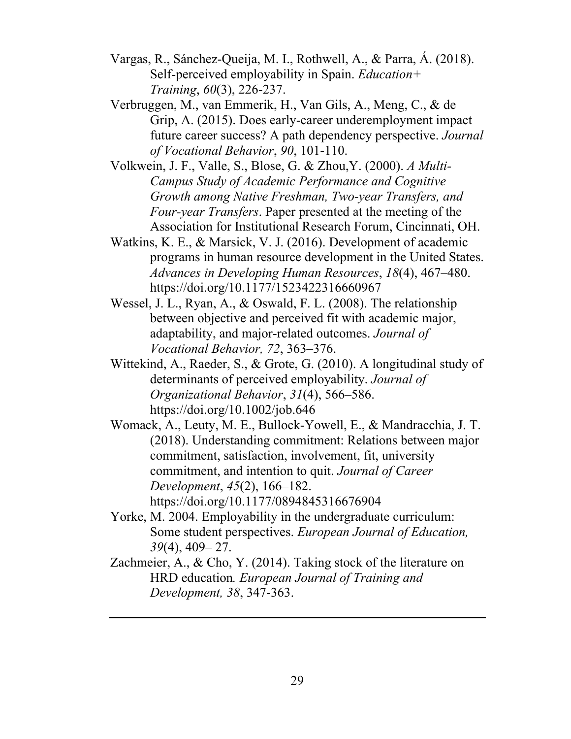- Vargas, R., Sánchez-Queija, M. I., Rothwell, A., & Parra, Á. (2018). Self-perceived employability in Spain. *Education+ Training*, *60*(3), 226-237.
- Verbruggen, M., van Emmerik, H., Van Gils, A., Meng, C., & de Grip, A. (2015). Does early-career underemployment impact future career success? A path dependency perspective. *Journal of Vocational Behavior*, *90*, 101-110.
- Volkwein, J. F., Valle, S., Blose, G. & Zhou,Y. (2000). *A Multi-Campus Study of Academic Performance and Cognitive Growth among Native Freshman, Two-year Transfers, and Four-year Transfers*. Paper presented at the meeting of the Association for Institutional Research Forum, Cincinnati, OH.
- Watkins, K. E., & Marsick, V. J. (2016). Development of academic programs in human resource development in the United States. *Advances in Developing Human Resources*, *18*(4), 467–480. https://doi.org/10.1177/1523422316660967
- Wessel, J. L., Ryan, A., & Oswald, F. L. (2008). The relationship between objective and perceived fit with academic major, adaptability, and major-related outcomes. *Journal of Vocational Behavior, 72*, 363–376.
- Wittekind, A., Raeder, S., & Grote, G. (2010). A longitudinal study of determinants of perceived employability. *Journal of Organizational Behavior*, *31*(4), 566–586. https://doi.org/10.1002/job.646
- Womack, A., Leuty, M. E., Bullock-Yowell, E., & Mandracchia, J. T. (2018). Understanding commitment: Relations between major commitment, satisfaction, involvement, fit, university commitment, and intention to quit. *Journal of Career Development*, *45*(2), 166–182. https://doi.org/10.1177/0894845316676904
- Yorke, M. 2004. Employability in the undergraduate curriculum: Some student perspectives. *European Journal of Education, 39*(4), 409– 27.
- Zachmeier, A., & Cho, Y. (2014). Taking stock of the literature on HRD education*. European Journal of Training and Development, 38*, 347-363.